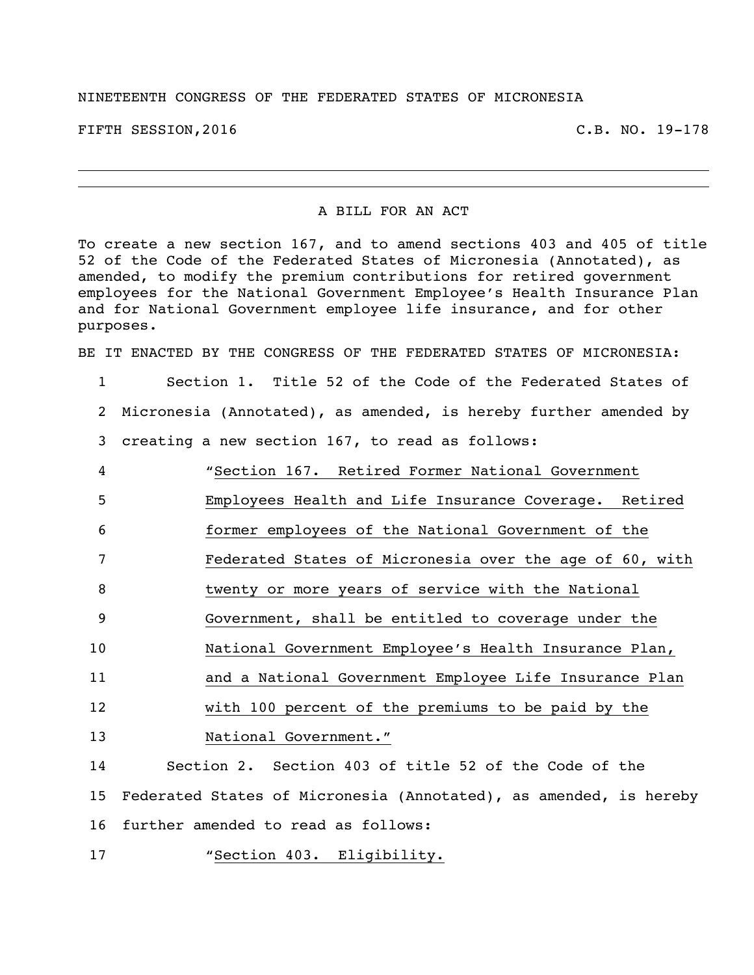## NINETEENTH CONGRESS OF THE FEDERATED STATES OF MICRONESIA

FIFTH SESSION,2016 C.B. NO. 19-178

## A BILL FOR AN ACT

To create a new section 167, and to amend sections 403 and 405 of title 52 of the Code of the Federated States of Micronesia (Annotated), as amended, to modify the premium contributions for retired government employees for the National Government Employee's Health Insurance Plan and for National Government employee life insurance, and for other purposes.

BE IT ENACTED BY THE CONGRESS OF THE FEDERATED STATES OF MICRONESIA:

- 1 Section 1. Title 52 of the Code of the Federated States of 2 Micronesia (Annotated), as amended, is hereby further amended by
- 
- 3 creating a new section 167, to read as follows:
- 4 "Section 167. Retired Former National Government 5 Employees Health and Life Insurance Coverage. Retired 6 former employees of the National Government of the 7 Federated States of Micronesia over the age of 60, with 8 twenty or more years of service with the National 9 Government, shall be entitled to coverage under the 10 National Government Employee's Health Insurance Plan, 11 and a National Government Employee Life Insurance Plan 12 with 100 percent of the premiums to be paid by the 13 National Government." 14 Section 2. Section 403 of title 52 of the Code of the

15 Federated States of Micronesia (Annotated), as amended, is hereby 16 further amended to read as follows:

17 "Section 403. Eligibility.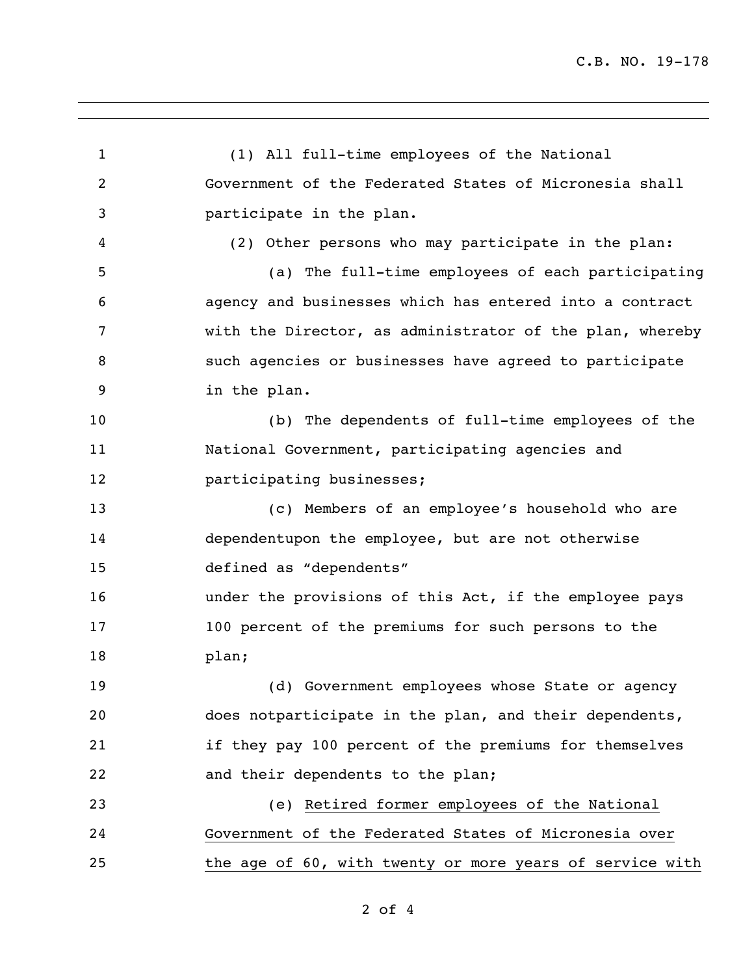(1) All full-time employees of the National Government of the Federated States of Micronesia shall participate in the plan. (2) Other persons who may participate in the plan: (a) The full-time employees of each participating agency and businesses which has entered into a contract with the Director, as administrator of the plan, whereby such agencies or businesses have agreed to participate in the plan. (b) The dependents of full-time employees of the National Government, participating agencies and **participating businesses;**  (c) Members of an employee's household who are dependentupon the employee, but are not otherwise defined as "dependents" under the provisions of this Act, if the employee pays 100 percent of the premiums for such persons to the plan; (d) Government employees whose State or agency does notparticipate in the plan, and their dependents, if they pay 100 percent of the premiums for themselves and their dependents to the plan; (e) Retired former employees of the National Government of the Federated States of Micronesia over the age of 60, with twenty or more years of service with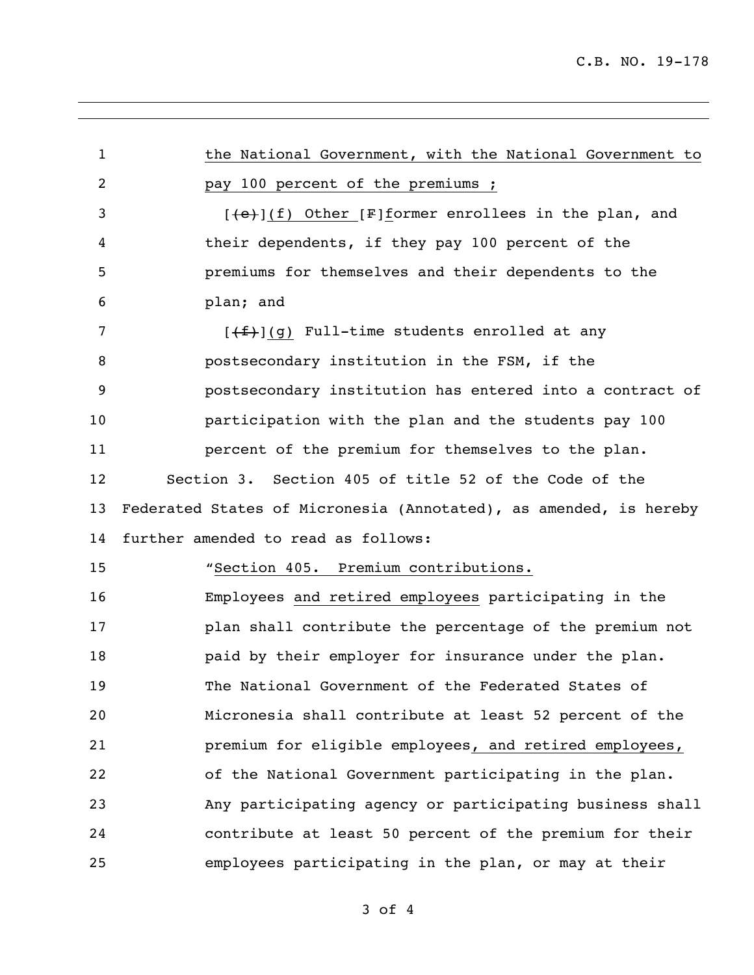| $\mathbf{1}$ | the National Government, with the National Government to          |
|--------------|-------------------------------------------------------------------|
| 2            | pay 100 percent of the premiums ;                                 |
| 3            | $[+e}] (f)$ Other [F] former enrollees in the plan, and           |
| 4            | their dependents, if they pay 100 percent of the                  |
| 5            | premiums for themselves and their dependents to the               |
| 6            | plan; and                                                         |
| 7            | $[\frac{f+1}{f}]$ (g) Full-time students enrolled at any          |
| 8            | postsecondary institution in the FSM, if the                      |
| 9            | postsecondary institution has entered into a contract of          |
| 10           | participation with the plan and the students pay 100              |
| 11           | percent of the premium for themselves to the plan.                |
| 12           | Section 3. Section 405 of title 52 of the Code of the             |
| 13           | Federated States of Micronesia (Annotated), as amended, is hereby |
| 14           | further amended to read as follows:                               |
| 15           | "Section 405. Premium contributions.                              |
| 16           | Employees and retired employees participating in the              |
| 17           | plan shall contribute the percentage of the premium not           |
| 18           | paid by their employer for insurance under the plan.              |
| 19           | The National Government of the Federated States of                |
| 20           | Micronesia shall contribute at least 52 percent of the            |
| 21           | premium for eligible employees, and retired employees,            |
| 22           | of the National Government participating in the plan.             |
| 23           | Any participating agency or participating business shall          |
| 24           | contribute at least 50 percent of the premium for their           |
| 25           | employees participating in the plan, or may at their              |

of 4